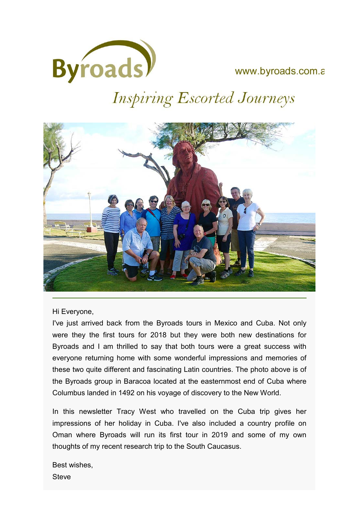

# www.byroads.com.a

# **Inspiring Escorted Journeys**



Hi Everyone,

I've just arrived back from the Byroads tours in Mexico and Cuba. Not only were they the first tours for 2018 but they were both new destinations for Byroads and I am thrilled to say that both tours were a great success with everyone returning home with some wonderful impressions and memories of these two quite different and fascinating Latin countries. The photo above is of the Byroads group in Baracoa located at the easternmost end of Cuba where Columbus landed in 1492 on his voyage of discovery to the New World.

In this newsletter Tracy West who travelled on the Cuba trip gives her impressions of her holiday in Cuba. I've also included a country profile on Oman where Byroads will run its first tour in 2019 and some of my own thoughts of my recent research trip to the South Caucasus.

Best wishes, **Steve**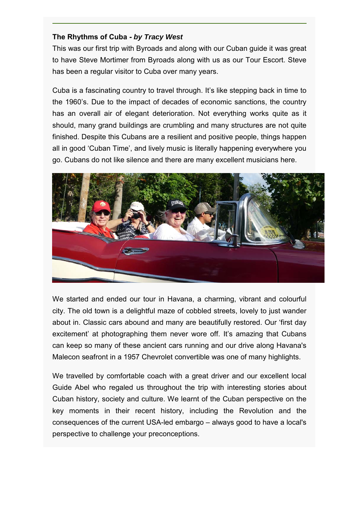## **The Rhythms of Cuba -** *by Tracy West*

This was our first trip with Byroads and along with our Cuban guide it was great to have Steve Mortimer from Byroads along with us as our Tour Escort. Steve has been a regular visitor to Cuba over many years.

Cuba is a fascinating country to travel through. It's like stepping back in time to the 1960's. Due to the impact of decades of economic sanctions, the country has an overall air of elegant deterioration. Not everything works quite as it should, many grand buildings are crumbling and many structures are not quite finished. Despite this Cubans are a resilient and positive people, things happen all in good 'Cuban Time', and lively music is literally happening everywhere you go. Cubans do not like silence and there are many excellent musicians here.



We started and ended our tour in Havana, a charming, vibrant and colourful city. The old town is a delightful maze of cobbled streets, lovely to just wander about in. Classic cars abound and many are beautifully restored. Our 'first day excitement' at photographing them never wore off. It's amazing that Cubans can keep so many of these ancient cars running and our drive along Havana's Malecon seafront in a 1957 Chevrolet convertible was one of many highlights.

We travelled by comfortable coach with a great driver and our excellent local Guide Abel who regaled us throughout the trip with interesting stories about Cuban history, society and culture. We learnt of the Cuban perspective on the key moments in their recent history, including the Revolution and the consequences of the current USA-led embargo – always good to have a local's perspective to challenge your preconceptions.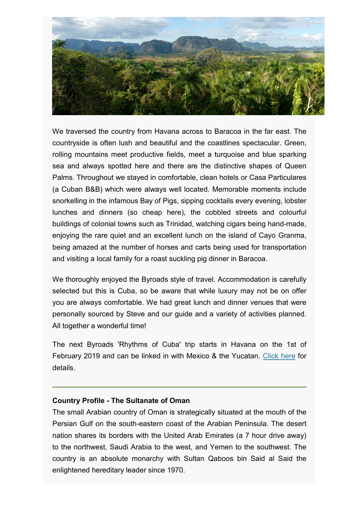

We traversed the country from Havana across to Baracoa in the far east. The countryside is often lush and beautiful and the coastlines spectacular. Green, rolling mountains meet productive fields, meet a turquoise and blue sparking sea and always spotted here and there are the distinctive shapes of Queen Palms. Throughout we stayed in comfortable, clean hotels or Casa Particulares (a Cuban B&B) which were always well located. Memorable moments include snorkelling in the infamous Bay of Pigs, sipping cocktails every evening, lobster lunches and dinners (so cheap here), the cobbled streets and colourful buildings of colonial towns such as Trinidad, watching cigars being hand-made, enjoying the rare quiet and an excellent lunch on the island of Cayo Granma, being amazed at the number of horses and carts being used for transportation and visiting a local family for a roast suckling pig dinner in Baracoa.

We thoroughly enjoyed the Byroads style of travel. Accommodation is carefully selected but this is Cuba, so be aware that while luxury may not be on offer you are always comfortable. We had great lunch and dinner venues that were personally sourced by Steve and our guide and a variety of activities planned. All together a wonderful time!

The next Byroads 'Rhythms of Cuba' trip starts in Havana on the 1st of February 2019 and can be linked in with Mexico & the Yucatan. Click here for details.

### **Country Profile - The Sultanate of Oman**

The small Arabian country of Oman is strategically situated at the mouth of the Persian Gulf on the south-eastern coast of the Arabian Peninsula. The desert nation shares its borders with the United Arab Emirates (a 7 hour drive away) to the northwest, Saudi Arabia to the west, and Yemen to the southwest. The country is an absolute monarchy with Sultan Qaboos bin Said al Said the enlightened hereditary leader since 1970.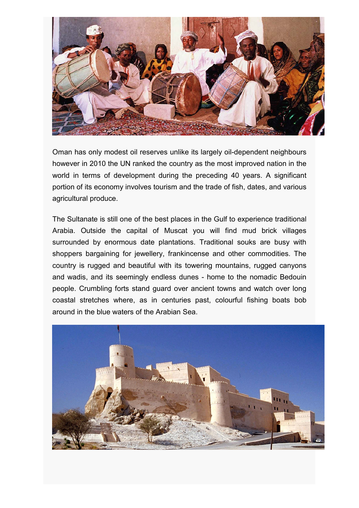

Oman has only modest oil reserves unlike its largely oil-dependent neighbours however in 2010 the UN ranked the country as the most improved nation in the world in terms of development during the preceding 40 years. A significant portion of its economy involves tourism and the trade of fish, dates, and various agricultural produce.

The Sultanate is still one of the best places in the Gulf to experience traditional Arabia. Outside the capital of Muscat you will find mud brick villages surrounded by enormous date plantations. Traditional souks are busy with shoppers bargaining for jewellery, frankincense and other commodities. The country is rugged and beautiful with its towering mountains, rugged canyons and wadis, and its seemingly endless dunes - home to the nomadic Bedouin people. Crumbling forts stand guard over ancient towns and watch over long coastal stretches where, as in centuries past, colourful fishing boats bob around in the blue waters of the Arabian Sea.

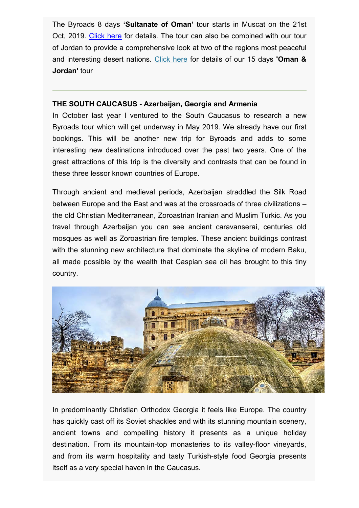The Byroads 8 days **'Sultanate of Oman'** tour starts in Muscat on the 21st Oct, 2019. Click here for details. The tour can also be combined with our tour of Jordan to provide a comprehensive look at two of the regions most peaceful and interesting desert nations. Click here for details of our 15 days **'Oman & Jordan'** tour

### **THE SOUTH CAUCASUS - Azerbaijan, Georgia and Armenia**

In October last year I ventured to the South Caucasus to research a new Byroads tour which will get underway in May 2019. We already have our first bookings. This will be another new trip for Byroads and adds to some interesting new destinations introduced over the past two years. One of the great attractions of this trip is the diversity and contrasts that can be found in these three lessor known countries of Europe.

Through ancient and medieval periods, Azerbaijan straddled the Silk Road between Europe and the East and was at the crossroads of three civilizations – the old Christian Mediterranean, Zoroastrian Iranian and Muslim Turkic. As you travel through Azerbaijan you can see ancient caravanserai, centuries old mosques as well as Zoroastrian fire temples. These ancient buildings contrast with the stunning new architecture that dominate the skyline of modern Baku, all made possible by the wealth that Caspian sea oil has brought to this tiny country.



In predominantly Christian Orthodox Georgia it feels like Europe. The country has quickly cast off its Soviet shackles and with its stunning mountain scenery, ancient towns and compelling history it presents as a unique holiday destination. From its mountain-top monasteries to its valley-floor vineyards, and from its warm hospitality and tasty Turkish-style food Georgia presents itself as a very special haven in the Caucasus.